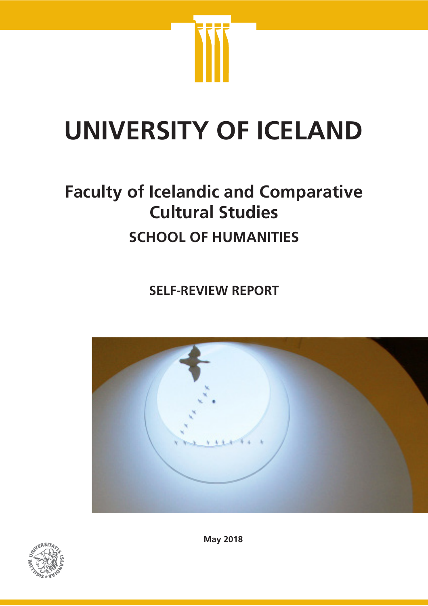

# **UNIVERSITY OF ICELAND**

## **Faculty of Icelandic and Comparative Cultural Studies SCHOOL OF HUMANITIES**

**SELF-REVIEW REPORT**





**May 2018**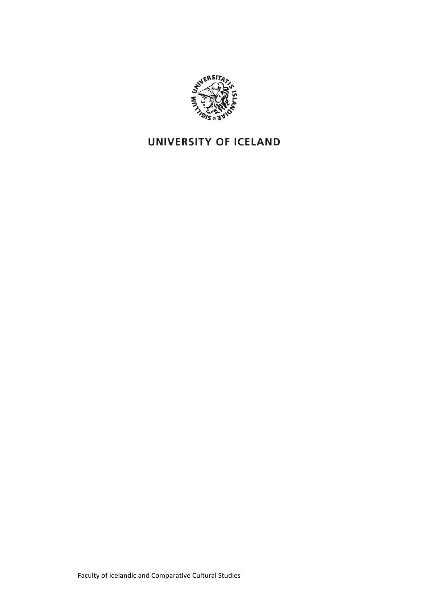

### UNIVERSITY OF ICELAND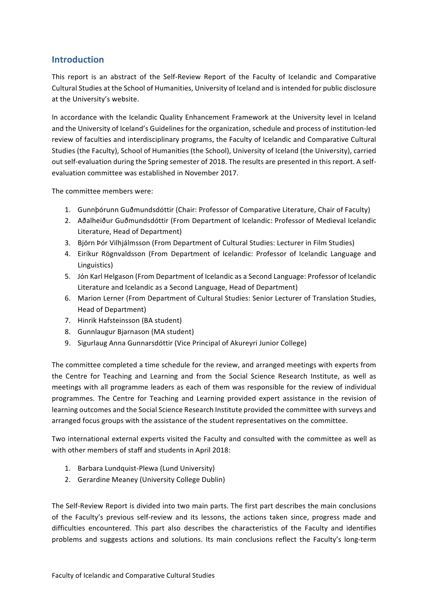#### **Introduction**

This report is an abstract of the Self-Review Report of the Faculty of Icelandic and Comparative Cultural Studies at the School of Humanities, University of Iceland and is intended for public disclosure at the University's website.

In accordance with the Icelandic Quality Enhancement Framework at the University level in Iceland and the University of Iceland's Guidelines for the organization, schedule and process of institution-led review of faculties and interdisciplinary programs, the Faculty of Icelandic and Comparative Cultural Studies (the Faculty), School of Humanities (the School), University of Iceland (the University), carried out self-evaluation during the Spring semester of 2018. The results are presented in this report. A selfevaluation committee was established in November 2017.

The committee members were:

- 1. Gunnþórunn Guðmundsdóttir (Chair: Professor of Comparative Literature, Chair of Faculty)
- 2. Aðalheiður Guðmundsdóttir (From Department of Icelandic: Professor of Medieval Icelandic Literature, Head of Department)
- 3. Björn Þór Vilhjálmsson (From Department of Cultural Studies: Lecturer in Film Studies)
- 4. Eiríkur Rögnvaldsson (From Department of Icelandic: Professor of Icelandic Language and Linguistics)
- 5. Jón Karl Helgason (From Department of Icelandic as a Second Language: Professor of Icelandic Literature and Icelandic as a Second Language, Head of Department)
- 6. Marion Lerner (From Department of Cultural Studies: Senior Lecturer of Translation Studies, Head of Department)
- 7. Hinrik Hafsteinsson (BA student)
- 8. Gunnlaugur Bjarnason (MA student)
- 9. Sigurlaug Anna Gunnarsdóttir (Vice Principal of Akureyri Junior College)

The committee completed a time schedule for the review, and arranged meetings with experts from the Centre for Teaching and Learning and from the Social Science Research Institute, as well as meetings with all programme leaders as each of them was responsible for the review of individual programmes. The Centre for Teaching and Learning provided expert assistance in the revision of learning outcomes and the Social Science Research Institute provided the committee with surveys and arranged focus groups with the assistance of the student representatives on the committee.

Two international external experts visited the Faculty and consulted with the committee as well as with other members of staff and students in April 2018:

- 1. Barbara Lundquist-Plewa (Lund University)
- 2. Gerardine Meaney (University College Dublin)

The Self-Review Report is divided into two main parts. The first part describes the main conclusions of the Faculty's previous self-review and its lessons, the actions taken since, progress made and difficulties encountered. This part also describes the characteristics of the Faculty and identifies problems and suggests actions and solutions. Its main conclusions reflect the Faculty's long-term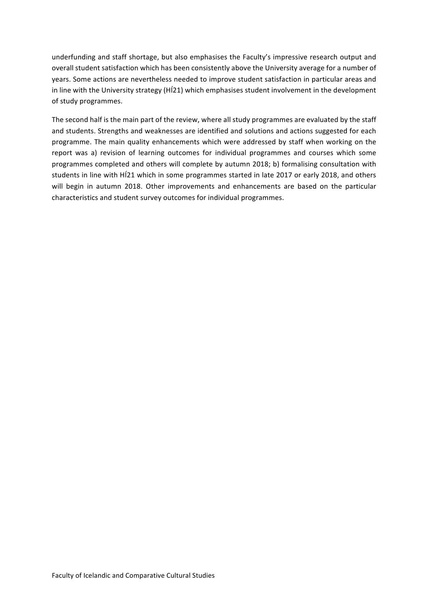underfunding and staff shortage, but also emphasises the Faculty's impressive research output and overall student satisfaction which has been consistently above the University average for a number of years. Some actions are nevertheless needed to improve student satisfaction in particular areas and in line with the University strategy (HÍ21) which emphasises student involvement in the development of study programmes.

The second half is the main part of the review, where all study programmes are evaluated by the staff and students. Strengths and weaknesses are identified and solutions and actions suggested for each programme. The main quality enhancements which were addressed by staff when working on the report was a) revision of learning outcomes for individual programmes and courses which some programmes completed and others will complete by autumn 2018; b) formalising consultation with students in line with HÍ21 which in some programmes started in late 2017 or early 2018, and others will begin in autumn 2018. Other improvements and enhancements are based on the particular characteristics and student survey outcomes for individual programmes.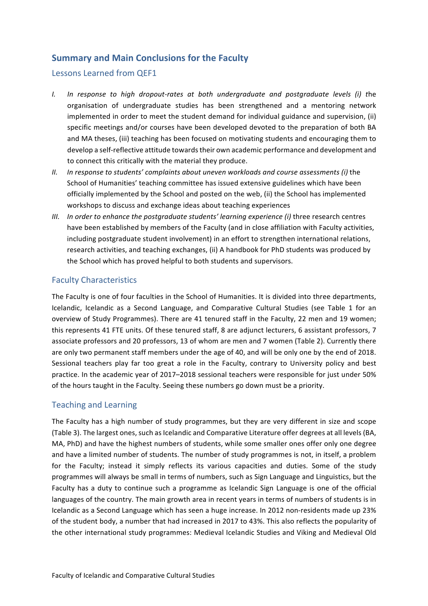#### **Summary and Main Conclusions for the Faculty**

#### Lessons Learned from OEF1

- *I. In response to high dropout-rates at both undergraduate and postgraduate levels (i) t*he organisation of undergraduate studies has been strengthened and a mentoring network implemented in order to meet the student demand for individual guidance and supervision, (ii) specific meetings and/or courses have been developed devoted to the preparation of both BA and MA theses, (iii) teaching has been focused on motivating students and encouraging them to develop a self-reflective attitude towards their own academic performance and development and to connect this critically with the material they produce.
- *II.* In response to students' complaints about uneven workloads and course assessments (i) the School of Humanities' teaching committee has issued extensive guidelines which have been officially implemented by the School and posted on the web, (ii) the School has implemented workshops to discuss and exchange ideas about teaching experiences
- *III.* In order to enhance the postgraduate students' learning experience (i) three research centres have been established by members of the Faculty (and in close affiliation with Faculty activities, including postgraduate student involvement) in an effort to strengthen international relations, research activities, and teaching exchanges, (ii) A handbook for PhD students was produced by the School which has proved helpful to both students and supervisors.

#### Faculty Characteristics

The Faculty is one of four faculties in the School of Humanities. It is divided into three departments, Icelandic, Icelandic as a Second Language, and Comparative Cultural Studies (see Table 1 for an overview of Study Programmes). There are 41 tenured staff in the Faculty, 22 men and 19 women; this represents 41 FTE units. Of these tenured staff, 8 are adjunct lecturers, 6 assistant professors, 7 associate professors and 20 professors, 13 of whom are men and 7 women (Table 2). Currently there are only two permanent staff members under the age of 40, and will be only one by the end of 2018. Sessional teachers play far too great a role in the Faculty, contrary to University policy and best practice. In the academic year of 2017–2018 sessional teachers were responsible for just under 50% of the hours taught in the Faculty. Seeing these numbers go down must be a priority.

#### Teaching and Learning

The Faculty has a high number of study programmes, but they are very different in size and scope (Table 3). The largest ones, such as Icelandic and Comparative Literature offer degrees at all levels (BA, MA, PhD) and have the highest numbers of students, while some smaller ones offer only one degree and have a limited number of students. The number of study programmes is not, in itself, a problem for the Faculty; instead it simply reflects its various capacities and duties. Some of the study programmes will always be small in terms of numbers, such as Sign Language and Linguistics, but the Faculty has a duty to continue such a programme as Icelandic Sign Language is one of the official languages of the country. The main growth area in recent years in terms of numbers of students is in Icelandic as a Second Language which has seen a huge increase. In 2012 non-residents made up 23% of the student body, a number that had increased in 2017 to 43%. This also reflects the popularity of the other international study programmes: Medieval Icelandic Studies and Viking and Medieval Old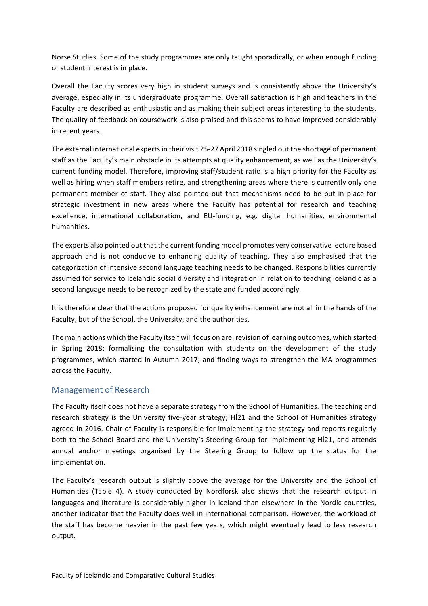Norse Studies. Some of the study programmes are only taught sporadically, or when enough funding or student interest is in place.

Overall the Faculty scores very high in student surveys and is consistently above the University's average, especially in its undergraduate programme. Overall satisfaction is high and teachers in the Faculty are described as enthusiastic and as making their subject areas interesting to the students. The quality of feedback on coursework is also praised and this seems to have improved considerably in recent years.

The external international experts in their visit 25-27 April 2018 singled out the shortage of permanent staff as the Faculty's main obstacle in its attempts at quality enhancement, as well as the University's current funding model. Therefore, improving staff/student ratio is a high priority for the Faculty as well as hiring when staff members retire, and strengthening areas where there is currently only one permanent member of staff. They also pointed out that mechanisms need to be put in place for strategic investment in new areas where the Faculty has potential for research and teaching excellence, international collaboration, and EU-funding, e.g. digital humanities, environmental humanities. 

The experts also pointed out that the current funding model promotes very conservative lecture based approach and is not conducive to enhancing quality of teaching. They also emphasised that the categorization of intensive second language teaching needs to be changed. Responsibilities currently assumed for service to Icelandic social diversity and integration in relation to teaching Icelandic as a second language needs to be recognized by the state and funded accordingly.

It is therefore clear that the actions proposed for quality enhancement are not all in the hands of the Faculty, but of the School, the University, and the authorities.

The main actions which the Faculty itself will focus on are: revision of learning outcomes, which started in Spring 2018; formalising the consultation with students on the development of the study programmes, which started in Autumn 2017; and finding ways to strengthen the MA programmes across the Faculty.

#### Management of Research

The Faculty itself does not have a separate strategy from the School of Humanities. The teaching and research strategy is the University five-year strategy; HI21 and the School of Humanities strategy agreed in 2016. Chair of Faculty is responsible for implementing the strategy and reports regularly both to the School Board and the University's Steering Group for implementing HÍ21, and attends annual anchor meetings organised by the Steering Group to follow up the status for the implementation.

The Faculty's research output is slightly above the average for the University and the School of Humanities (Table 4). A study conducted by Nordforsk also shows that the research output in languages and literature is considerably higher in Iceland than elsewhere in the Nordic countries, another indicator that the Faculty does well in international comparison. However, the workload of the staff has become heavier in the past few years, which might eventually lead to less research output.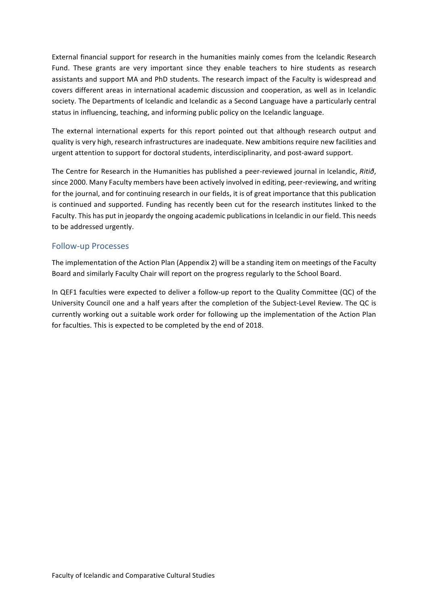External financial support for research in the humanities mainly comes from the Icelandic Research Fund. These grants are very important since they enable teachers to hire students as research assistants and support MA and PhD students. The research impact of the Faculty is widespread and covers different areas in international academic discussion and cooperation, as well as in Icelandic society. The Departments of Icelandic and Icelandic as a Second Language have a particularly central status in influencing, teaching, and informing public policy on the Icelandic language.

The external international experts for this report pointed out that although research output and quality is very high, research infrastructures are inadequate. New ambitions require new facilities and urgent attention to support for doctoral students, interdisciplinarity, and post-award support.

The Centre for Research in the Humanities has published a peer-reviewed journal in Icelandic, *Ritið*, since 2000. Many Faculty members have been actively involved in editing, peer-reviewing, and writing for the iournal, and for continuing research in our fields, it is of great importance that this publication is continued and supported. Funding has recently been cut for the research institutes linked to the Faculty. This has put in jeopardy the ongoing academic publications in Icelandic in our field. This needs to be addressed urgently.

#### Follow-up Processes

The implementation of the Action Plan (Appendix 2) will be a standing item on meetings of the Faculty Board and similarly Faculty Chair will report on the progress regularly to the School Board.

In QEF1 faculties were expected to deliver a follow-up report to the Quality Committee  $(QC)$  of the University Council one and a half years after the completion of the Subject-Level Review. The QC is currently working out a suitable work order for following up the implementation of the Action Plan for faculties. This is expected to be completed by the end of 2018.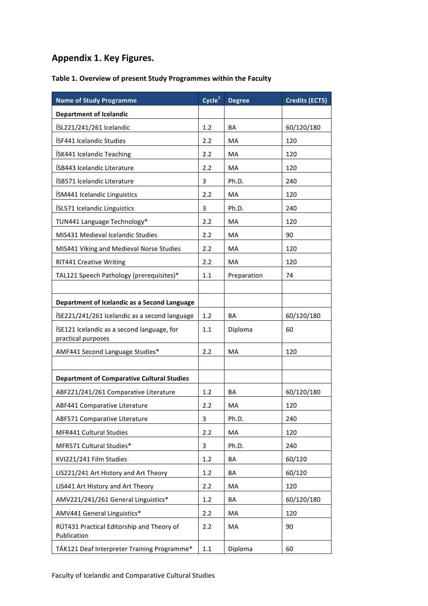#### **Appendix 1. Key Figures.**

#### Table 1. Overview of present Study Programmes within the Faculty

| <b>Name of Study Programme</b>                                   | Cycle <sup>1</sup> | <b>Degree</b> | <b>Credits (ECTS)</b> |
|------------------------------------------------------------------|--------------------|---------------|-----------------------|
| <b>Department of Icelandic</b>                                   |                    |               |                       |
| ÍSL221/241/261 Icelandic                                         | 1.2                | ΒA            | 60/120/180            |
| ÍSF441 Icelandic Studies                                         | 2.2                | MA            | 120                   |
| ÍSK441 Icelandic Teaching                                        | 2.2                | MA            | 120                   |
| ÍSB443 Icelandic Literature                                      | 2.2                | МA            | 120                   |
| ÍSB571 Icelandic Literature                                      | 3                  | Ph.D.         | 240                   |
| ÍSM441 Icelandic Linguistics                                     | 2.2                | <b>MA</b>     | 120                   |
| ÍSL571 Icelandic Linguistics                                     | 3                  | Ph.D.         | 240                   |
| TUN441 Language Technology*                                      | 2.2                | MA            | 120                   |
| MIS431 Medieval Icelandic Studies                                | 2.2                | MA            | 90                    |
| MIS441 Viking and Medieval Norse Studies                         | 2.2                | <b>MA</b>     | 120                   |
| <b>RIT441 Creative Writing</b>                                   | 2.2                | MA            | 120                   |
| TAL121 Speech Pathology (prerequisites)*                         | 1.1                | Preparation   | 74                    |
|                                                                  |                    |               |                       |
| Department of Icelandic as a Second Language                     |                    |               |                       |
| ÍSE221/241/261 Icelandic as a second language                    | 1.2                | BA            | 60/120/180            |
| ÍSE121 Icelandic as a second language, for<br>practical purposes | 1.1                | Diploma       | 60                    |
| AMF441 Second Language Studies*                                  | 2.2                | MA            | 120                   |
|                                                                  |                    |               |                       |
| <b>Department of Comparative Cultural Studies</b>                |                    |               |                       |
| ABF221/241/261 Comparative Literature                            | 1.2                | ΒA            | 60/120/180            |
| ABF441 Comparative Literature                                    | 2.2                | МA            | 120                   |
| <b>ABF571 Comparative Literature</b>                             | 3                  | Ph.D.         | 240                   |
| MFR441 Cultural Studies                                          | 2.2                | MA            | 120                   |
| MFR571 Cultural Studies*                                         | 3                  | Ph.D.         | 240                   |
| KVI221/241 Film Studies                                          | 1.2                | BA            | 60/120                |
| LIS221/241 Art History and Art Theory                            | 1.2                | BA            | 60/120                |
| LIS441 Art History and Art Theory                                | 2.2                | MA            | 120                   |
| AMV221/241/261 General Linguistics*                              | 1.2                | BA            | 60/120/180            |
| AMV441 General Linguistics*                                      | 2.2                | МA            | 120                   |
| RÚT431 Practical Editorship and Theory of<br>Publication         | 2.2                | МA            | 90                    |
| TÁK121 Deaf Interpreter Training Programme*                      | 1.1                | Diploma       | 60                    |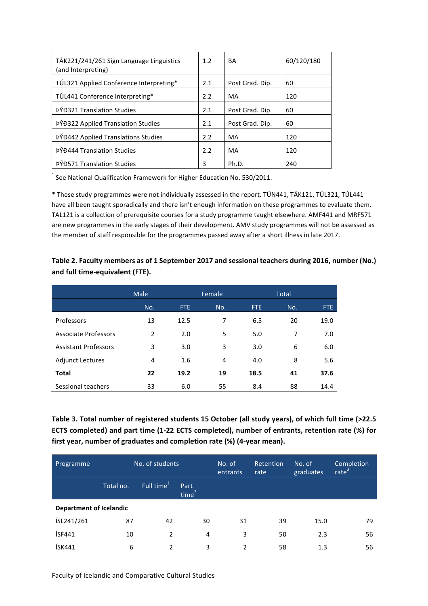| TÁK221/241/261 Sign Language Linguistics<br>(and Interpreting) | 1.2 | BA              | 60/120/180 |
|----------------------------------------------------------------|-----|-----------------|------------|
| TÚL321 Applied Conference Interpreting*                        | 2.1 | Post Grad. Dip. | 60         |
| TÚL441 Conference Interpreting*                                | 2.2 | MA              | 120        |
| <b>ÞÝÐ321 Translation Studies</b>                              | 2.1 | Post Grad. Dip. | 60         |
| <b>PYD322 Applied Translation Studies</b>                      | 2.1 | Post Grad. Dip. | 60         |
| <b>PÝĐ442 Applied Translations Studies</b>                     | 2.2 | MA              | 120        |
| <b>ÞÝÐ444 Translation Studies</b>                              | 2.2 | MA              | 120        |
| <b>PÝĐ571 Translation Studies</b>                              | 3   | Ph.D.           | 240        |

 $1$  See National Qualification Framework for Higher Education No. 530/2011.

\* These study programmes were not individually assessed in the report. TÚN441, TÁK121, TÚL321, TÚL441 have all been taught sporadically and there isn't enough information on these programmes to evaluate them. TAL121 is a collection of prerequisite courses for a study programme taught elsewhere. AMF441 and MRF571 are new programmes in the early stages of their development. AMV study programmes will not be assessed as the member of staff responsible for the programmes passed away after a short illness in late 2017.

|                             | Male           | Female<br>Total |     |      |     |      |
|-----------------------------|----------------|-----------------|-----|------|-----|------|
|                             | No.            | FTE             | No. | FTE. | No. | FTE  |
| Professors                  | 13             | 12.5            | 7   | 6.5  | 20  | 19.0 |
| <b>Associate Professors</b> | $\overline{2}$ | 2.0             | 5   | 5.0  | 7   | 7.0  |
| <b>Assistant Professors</b> | 3              | 3.0             | 3   | 3.0  | 6   | 6.0  |
| <b>Adjunct Lectures</b>     | 4              | 1.6             | 4   | 4.0  | 8   | 5.6  |
| <b>Total</b>                | 22             | 19.2            | 19  | 18.5 | 41  | 37.6 |
| Sessional teachers          | 33             | 6.0             | 55  | 8.4  | 88  | 14.4 |

Table 2. Faculty members as of 1 September 2017 and sessional teachers during 2016, number (No.) and full time-equivalent (FTE).

Table 3. Total number of registered students 15 October (all study years), of which full time (>22.5 **ECTS** completed) and part time (1-22 ECTS completed), number of entrants, retention rate (%) for first year, number of graduates and completion rate (%) (4-year mean).

| Programme                      |           | No. of students        |                           | No. of<br>entrants | <b>Retention</b><br>rate | No. of<br>graduates | Completion<br>rate <sup>3</sup> |
|--------------------------------|-----------|------------------------|---------------------------|--------------------|--------------------------|---------------------|---------------------------------|
|                                | Total no. | Full time <sup>1</sup> | Part<br>time <sup>2</sup> |                    |                          |                     |                                 |
| <b>Department of Icelandic</b> |           |                        |                           |                    |                          |                     |                                 |
| ÍSL241/261                     | 87        | 42                     | 30                        | 31                 | 39                       | 15.0                | 79                              |
| ÍSF441                         | 10        | 2                      | 4                         | 3                  | 50                       | 2.3                 | 56                              |
| ÍSK441                         | 6         | $\mathfrak{p}$         | 3                         | $\overline{2}$     | 58                       | 1.3                 | 56                              |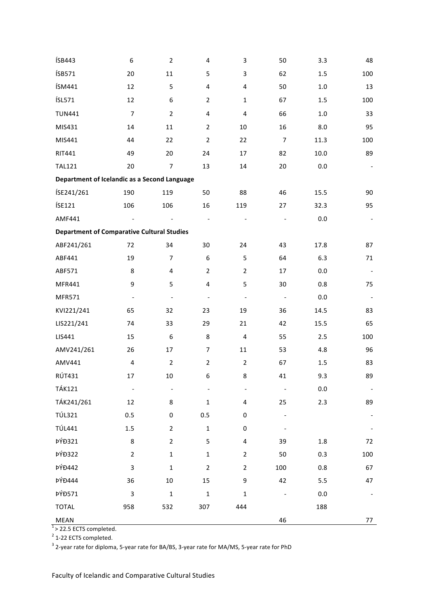| ÍSB443                                            | 6                         | $\overline{2}$           | 4                        | 3                        | 50                       | 3.3     | 48                       |
|---------------------------------------------------|---------------------------|--------------------------|--------------------------|--------------------------|--------------------------|---------|--------------------------|
| ÍSB571                                            | 20                        | $11\,$                   | 5                        | 3                        | 62                       | 1.5     | 100                      |
| ÍSM441                                            | 12                        | 5                        | $\overline{\mathbf{4}}$  | 4                        | 50                       | 1.0     | 13                       |
| ÍSL571                                            | 12                        | $\boldsymbol{6}$         | $\overline{2}$           | $\mathbf{1}$             | 67                       | 1.5     | 100                      |
| <b>TUN441</b>                                     | $\boldsymbol{7}$          | $\overline{2}$           | $\overline{\mathbf{4}}$  | $\overline{\mathbf{4}}$  | 66                       | $1.0\,$ | 33                       |
| MIS431                                            | 14                        | 11                       | $\overline{2}$           | 10                       | 16                       | 8.0     | 95                       |
| MIS441                                            | 44                        | 22                       | $\overline{2}$           | 22                       | $\overline{7}$           | 11.3    | 100                      |
| <b>RIT441</b>                                     | 49                        | 20                       | 24                       | 17                       | 82                       | 10.0    | 89                       |
| <b>TAL121</b>                                     | 20                        | $\overline{7}$           | 13                       | 14                       | $20\,$                   | 0.0     |                          |
| Department of Icelandic as a Second Language      |                           |                          |                          |                          |                          |         |                          |
| ÍSE241/261                                        | 190                       | 119                      | 50                       | 88                       | 46                       | 15.5    | 90                       |
| ÍSE121                                            | 106                       | 106                      | 16                       | 119                      | 27                       | 32.3    | 95                       |
| AMF441                                            |                           |                          |                          |                          |                          | $0.0\,$ |                          |
| <b>Department of Comparative Cultural Studies</b> |                           |                          |                          |                          |                          |         |                          |
| ABF241/261                                        | 72                        | 34                       | 30                       | 24                       | 43                       | 17.8    | 87                       |
| ABF441                                            | 19                        | $\overline{7}$           | $\boldsymbol{6}$         | 5                        | 64                       | 6.3     | 71                       |
| ABF571                                            | $\bf 8$                   | 4                        | $\overline{2}$           | $\overline{2}$           | 17                       | 0.0     | $\overline{\phantom{a}}$ |
| MFR441                                            | 9                         | 5                        | $\overline{\mathbf{4}}$  | 5                        | 30                       | 0.8     | 75                       |
| MFR571                                            | $\overline{\phantom{a}}$  | $\overline{\phantom{a}}$ | $\overline{\phantom{a}}$ | $\overline{\phantom{a}}$ | $\overline{\phantom{a}}$ | 0.0     | $\overline{\phantom{a}}$ |
| KVI221/241                                        | 65                        | 32                       | 23                       | 19                       | 36                       | 14.5    | 83                       |
| LIS221/241                                        | 74                        | 33                       | 29                       | 21                       | 42                       | 15.5    | 65                       |
| LIS441                                            | 15                        | $\boldsymbol{6}$         | $\bf 8$                  | $\pmb{4}$                | 55                       | 2.5     | 100                      |
| AMV241/261                                        | 26                        | 17                       | $\overline{7}$           | $11\,$                   | 53                       | 4.8     | 96                       |
| AMV441                                            | $\pmb{4}$                 | $\overline{2}$           | $\overline{2}$           | $\overline{2}$           | 67                       | 1.5     | 83                       |
| <b>RÚT431</b>                                     | 17                        | 10                       | 6                        | 8                        | 41                       | 9.3     | 89                       |
| <b>TÁK121</b>                                     | $\overline{\phantom{a}}$  |                          |                          |                          |                          | 0.0     |                          |
| TÁK241/261                                        | $12\,$                    | 8                        | $\mathbf{1}$             | 4                        | 25                       | 2.3     | 89                       |
| <b>TÚL321</b>                                     | 0.5                       | $\pmb{0}$                | $0.5\,$                  | 0                        |                          |         |                          |
| <b>TÚL441</b>                                     | $1.5\,$                   | $\overline{2}$           | $\mathbf 1$              | 0                        |                          |         |                          |
| <b>ÞÝÐ321</b>                                     | $\bf 8$                   | $\overline{2}$           | 5                        | 4                        | 39                       | $1.8\,$ | 72                       |
| <b>ÞÝÐ322</b>                                     | $\overline{2}$            | $\mathbf 1$              | $\mathbf{1}$             | $\overline{2}$           | 50                       | 0.3     | 100                      |
| <b>ÞÝÐ442</b>                                     | $\ensuremath{\mathsf{3}}$ | $\mathbf 1$              | $\mathbf 2$              | $\overline{2}$           | 100                      | 0.8     | 67                       |
| <b>ÞÝÐ444</b>                                     | 36                        | $10\,$                   | 15                       | 9                        | 42                       | 5.5     | 47                       |
| <b>ÞÝÐ571</b>                                     | $\ensuremath{\mathsf{3}}$ | $\mathbf 1$              | $\mathbf 1$              | $\mathbf{1}$             |                          | 0.0     |                          |
| <b>TOTAL</b>                                      | 958                       | 532                      | 307                      | 444                      |                          | 188     |                          |
| MEAN                                              |                           |                          |                          |                          | 46                       |         | 77                       |

 $1$  > 22.5 ECTS completed.

 $2$  1-22 ECTS completed.

 $3$  2-year rate for diploma, 5-year rate for BA/BS, 3-year rate for MA/MS, 5-year rate for PhD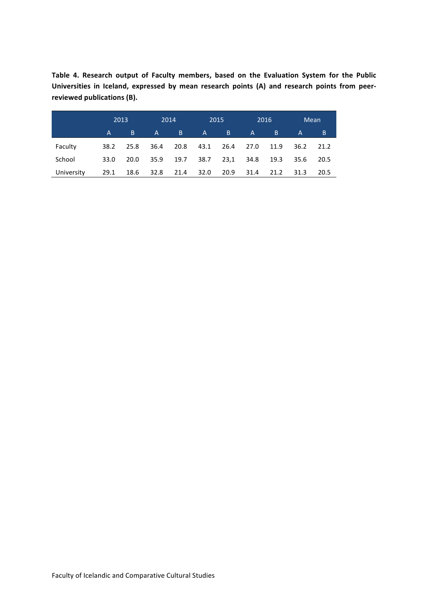Table 4. Research output of Faculty members, based on the Evaluation System for the Public Universities in Iceland, expressed by mean research points (A) and research points from peerreviewed publications (B).

|            | 2013 |      | 2014 |                | 2015         |      | 2016              |       |      | Mean |
|------------|------|------|------|----------------|--------------|------|-------------------|-------|------|------|
|            | A.   | B.   | A    | $\overline{B}$ | $\mathsf{A}$ | B    | $A \qquad \qquad$ | 7 B I | A    | B    |
| Faculty    | 38.2 | 25.8 | 36.4 | 20.8           | 43.1         | 26.4 | 27.0              | 11.9  | 36.2 | 21.2 |
| School     | 33.0 | 20.0 | 35.9 | 19.7 38.7      |              | 23,1 | 34.8              | 19.3  | 35.6 | 20.5 |
| University | 29.1 | 18.6 | 32.8 | 21.4           | 32.0         | 20.9 | 31.4              | 21.2  | 31.3 | 20.5 |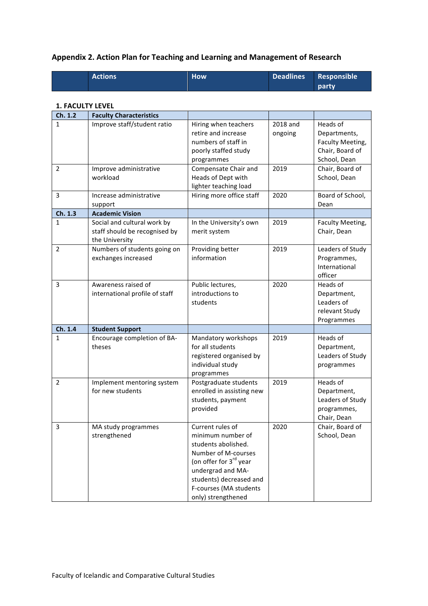#### **Appendix 2. Action Plan for Teaching and Learning and Management of Research**

| <b>Actions</b> | <b>How</b> | Deadlines Responsible |
|----------------|------------|-----------------------|
|                |            | <b>party</b>          |

#### **1. FACULTY LEVEL**

| Ch. 1.2        | <b>Faculty Characteristics</b>                                                 |                                                                                                                                                                                                                           |                     |                                                                                 |
|----------------|--------------------------------------------------------------------------------|---------------------------------------------------------------------------------------------------------------------------------------------------------------------------------------------------------------------------|---------------------|---------------------------------------------------------------------------------|
| 1              | Improve staff/student ratio                                                    | Hiring when teachers<br>retire and increase<br>numbers of staff in<br>poorly staffed study<br>programmes                                                                                                                  | 2018 and<br>ongoing | Heads of<br>Departments,<br>Faculty Meeting,<br>Chair, Board of<br>School, Dean |
| 2              | Improve administrative<br>workload                                             | Compensate Chair and<br>Heads of Dept with<br>lighter teaching load                                                                                                                                                       | 2019                | Chair, Board of<br>School, Dean                                                 |
| 3              | Increase administrative<br>support                                             | Hiring more office staff                                                                                                                                                                                                  | 2020                | Board of School,<br>Dean                                                        |
| Ch. 1.3        | <b>Academic Vision</b>                                                         |                                                                                                                                                                                                                           |                     |                                                                                 |
| $\mathbf{1}$   | Social and cultural work by<br>staff should be recognised by<br>the University | In the University's own<br>merit system                                                                                                                                                                                   | 2019                | Faculty Meeting,<br>Chair, Dean                                                 |
| $\overline{2}$ | Numbers of students going on<br>exchanges increased                            | Providing better<br>information                                                                                                                                                                                           | 2019                | Leaders of Study<br>Programmes,<br>International<br>officer                     |
| 3              | Awareness raised of<br>international profile of staff                          | Public lectures,<br>introductions to<br>students                                                                                                                                                                          | 2020                | Heads of<br>Department,<br>Leaders of<br>relevant Study<br>Programmes           |
| Ch. 1.4        | <b>Student Support</b>                                                         |                                                                                                                                                                                                                           |                     |                                                                                 |
| 1              | Encourage completion of BA-<br>theses                                          | Mandatory workshops<br>for all students<br>registered organised by<br>individual study<br>programmes                                                                                                                      | 2019                | Heads of<br>Department,<br>Leaders of Study<br>programmes                       |
| $\overline{2}$ | Implement mentoring system<br>for new students                                 | Postgraduate students<br>enrolled in assisting new<br>students, payment<br>provided                                                                                                                                       | 2019                | Heads of<br>Department,<br>Leaders of Study<br>programmes,<br>Chair, Dean       |
| 3              | MA study programmes<br>strengthened                                            | Current rules of<br>minimum number of<br>students abolished.<br>Number of M-courses<br>(on offer for 3 <sup>rd</sup> year<br>undergrad and MA-<br>students) decreased and<br>F-courses (MA students<br>only) strengthened | 2020                | Chair, Board of<br>School, Dean                                                 |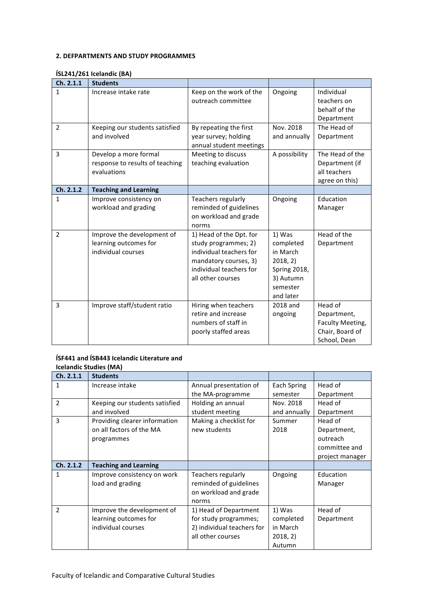#### **2. DEFPARTMENTS AND STUDY PROGRAMMES**

#### **ÍSL241/261 Icelandic (BA)**

| Ch. 2.1.1      | <b>Students</b>                                                           |                                                                                                                                                     |                                                                                                          |                                                                               |
|----------------|---------------------------------------------------------------------------|-----------------------------------------------------------------------------------------------------------------------------------------------------|----------------------------------------------------------------------------------------------------------|-------------------------------------------------------------------------------|
| $\mathbf{1}$   | Increase intake rate                                                      | Keep on the work of the<br>outreach committee                                                                                                       | Ongoing                                                                                                  | Individual<br>teachers on<br>behalf of the<br>Department                      |
| $\overline{2}$ | Keeping our students satisfied<br>and involved                            | By repeating the first<br>year survey; holding<br>annual student meetings                                                                           | Nov. 2018<br>and annually                                                                                | The Head of<br>Department                                                     |
| 3              | Develop a more formal<br>response to results of teaching<br>evaluations   | Meeting to discuss<br>teaching evaluation                                                                                                           | A possibility                                                                                            | The Head of the<br>Department (if<br>all teachers<br>agree on this)           |
| Ch. 2.1.2      | <b>Teaching and Learning</b>                                              |                                                                                                                                                     |                                                                                                          |                                                                               |
| $\mathbf{1}$   | Improve consistency on<br>workload and grading                            | Teachers regularly<br>reminded of guidelines<br>on workload and grade<br>norms                                                                      | Ongoing                                                                                                  | Education<br>Manager                                                          |
| $\overline{2}$ | Improve the development of<br>learning outcomes for<br>individual courses | 1) Head of the Dpt. for<br>study programmes; 2)<br>individual teachers for<br>mandatory courses, 3)<br>individual teachers for<br>all other courses | 1) Was<br>completed<br>in March<br>2018, 2)<br><b>Spring 2018,</b><br>3) Autumn<br>semester<br>and later | Head of the<br>Department                                                     |
| 3              | Improve staff/student ratio                                               | Hiring when teachers<br>retire and increase<br>numbers of staff in<br>poorly staffed areas                                                          | 2018 and<br>ongoing                                                                                      | Head of<br>Department,<br>Faculty Meeting,<br>Chair, Board of<br>School, Dean |

#### **ÍSF441** and **ÍSB443** Icelandic Literature and **Icelandic Studies (MA)**

|                | $\frac{1}{2}$                  |                            |              |                 |
|----------------|--------------------------------|----------------------------|--------------|-----------------|
| Ch. 2.1.1      | <b>Students</b>                |                            |              |                 |
| 1              | Increase intake                | Annual presentation of     | Each Spring  | Head of         |
|                |                                | the MA-programme           | semester     | Department      |
| $\overline{2}$ | Keeping our students satisfied | Holding an annual          | Nov. 2018    | Head of         |
|                | and involved                   | student meeting            | and annually | Department      |
| 3              | Providing clearer information  | Making a checklist for     | Summer       | Head of         |
|                | on all factors of the MA       | new students               | 2018         | Department,     |
|                | programmes                     |                            |              | outreach        |
|                |                                |                            |              | committee and   |
|                |                                |                            |              | project manager |
| Ch. 2.1.2      | <b>Teaching and Learning</b>   |                            |              |                 |
| 1              | Improve consistency on work    | Teachers regularly         | Ongoing      | Education       |
|                | load and grading               | reminded of guidelines     |              | Manager         |
|                |                                | on workload and grade      |              |                 |
|                |                                | norms                      |              |                 |
| $\mathcal{P}$  | Improve the development of     | 1) Head of Department      | 1) Was       | Head of         |
|                | learning outcomes for          | for study programmes;      | completed    | Department      |
|                | individual courses             | 2) individual teachers for | in March     |                 |
|                |                                | all other courses          | 2018, 2)     |                 |
|                |                                |                            | Autumn       |                 |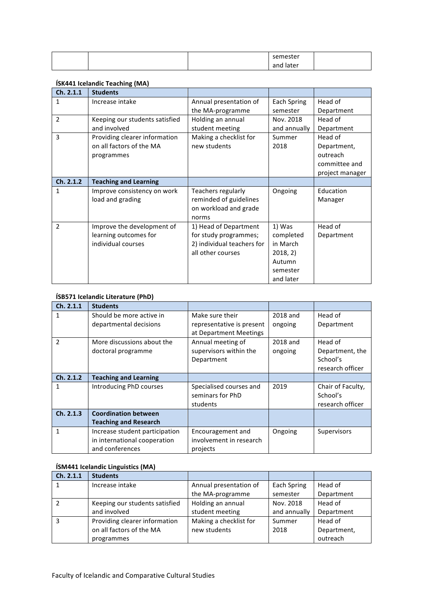|  | semester  |  |
|--|-----------|--|
|  | and later |  |

#### **ÍSK441 Icelandic Teaching (MA)**

| Ch. 2.1.1      | <b>Students</b>                |                            |              |                 |
|----------------|--------------------------------|----------------------------|--------------|-----------------|
| 1              | Increase intake                | Annual presentation of     | Each Spring  | Head of         |
|                |                                | the MA-programme           | semester     | Department      |
| $\overline{2}$ | Keeping our students satisfied | Holding an annual          | Nov. 2018    | Head of         |
|                | and involved                   | student meeting            | and annually | Department      |
| 3              | Providing clearer information  | Making a checklist for     | Summer       | Head of         |
|                | on all factors of the MA       | new students               | 2018         | Department,     |
|                | programmes                     |                            |              | outreach        |
|                |                                |                            |              | committee and   |
|                |                                |                            |              | project manager |
| Ch. 2.1.2      | <b>Teaching and Learning</b>   |                            |              |                 |
| 1              | Improve consistency on work    | Teachers regularly         | Ongoing      | Education       |
|                | load and grading               | reminded of guidelines     |              | Manager         |
|                |                                | on workload and grade      |              |                 |
|                |                                | norms                      |              |                 |
| $\mathfrak{p}$ | Improve the development of     | 1) Head of Department      | 1) Was       | Head of         |
|                | learning outcomes for          | for study programmes;      | completed    | Department      |
|                | individual courses             | 2) individual teachers for | in March     |                 |
|                |                                | all other courses          | 2018, 2)     |                 |
|                |                                |                            | Autumn       |                 |
|                |                                |                            | semester     |                 |
|                |                                |                            | and later    |                 |

#### **ÍSB571 Icelandic Literature (PhD)**

| Ch. 2.1.1     | <b>Students</b>                |                           |          |                   |
|---------------|--------------------------------|---------------------------|----------|-------------------|
|               | Should be more active in       | Make sure their           | 2018 and | Head of           |
|               | departmental decisions         | representative is present | ongoing  | Department        |
|               |                                | at Department Meetings    |          |                   |
| $\mathfrak z$ | More discussions about the     | Annual meeting of         | 2018 and | Head of           |
|               | doctoral programme             | supervisors within the    | ongoing  | Department, the   |
|               |                                | Department                |          | School's          |
|               |                                |                           |          | research officer  |
| Ch. 2.1.2     | <b>Teaching and Learning</b>   |                           |          |                   |
| 1             | Introducing PhD courses        | Specialised courses and   | 2019     | Chair of Faculty, |
|               |                                | seminars for PhD          |          | School's          |
|               |                                | students                  |          | research officer  |
| Ch. 2.1.3     | <b>Coordination between</b>    |                           |          |                   |
|               | <b>Teaching and Research</b>   |                           |          |                   |
| 1             | Increase student participation | Encouragement and         | Ongoing  | Supervisors       |
|               | in international cooperation   | involvement in research   |          |                   |
|               | and conferences                | projects                  |          |                   |

#### **ÍSM441 Icelandic Linguistics (MA)**

| Ch. 2.1.1 | <b>Students</b>                |                        |              |             |
|-----------|--------------------------------|------------------------|--------------|-------------|
|           | Increase intake                | Annual presentation of | Each Spring  | Head of     |
|           |                                | the MA-programme       | semester     | Department  |
|           | Keeping our students satisfied | Holding an annual      | Nov. 2018    | Head of     |
|           | and involved                   | student meeting        | and annually | Department  |
|           | Providing clearer information  | Making a checklist for | Summer       | Head of     |
|           | on all factors of the MA       | new students           | 2018         | Department, |
|           | programmes                     |                        |              | outreach    |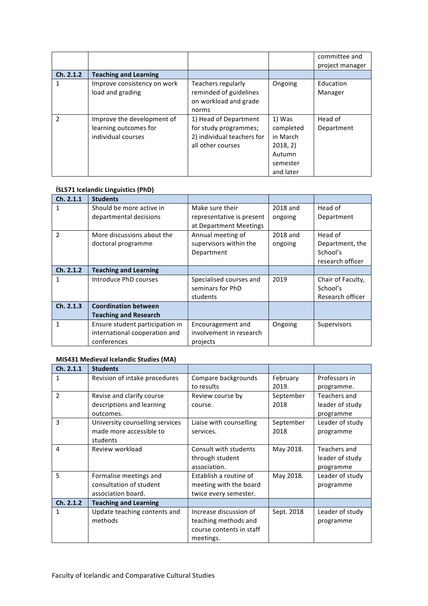|               |                                                                           |                                                                                                   |                                                                                | committee and<br>project manager |
|---------------|---------------------------------------------------------------------------|---------------------------------------------------------------------------------------------------|--------------------------------------------------------------------------------|----------------------------------|
| Ch. 2.1.2     | <b>Teaching and Learning</b>                                              |                                                                                                   |                                                                                |                                  |
|               | Improve consistency on work<br>load and grading                           | Teachers regularly<br>reminded of guidelines<br>on workload and grade<br>norms                    | Ongoing                                                                        | Education<br>Manager             |
| $\mathcal{P}$ | Improve the development of<br>learning outcomes for<br>individual courses | 1) Head of Department<br>for study programmes;<br>2) individual teachers for<br>all other courses | 1) Was<br>completed<br>in March<br>2018, 2)<br>Autumn<br>semester<br>and later | Head of<br>Department            |

#### **ÍSL571 Icelandic Linguistics (PhD)**

| Ch. 2.1.1     | <b>Students</b>                 |                           |          |                   |
|---------------|---------------------------------|---------------------------|----------|-------------------|
| 1             | Should be more active in        | Make sure their           | 2018 and | Head of           |
|               | departmental decisions          | representative is present | ongoing  | Department        |
|               |                                 | at Department Meetings    |          |                   |
| $\mathcal{P}$ | More discussions about the      | Annual meeting of         | 2018 and | Head of           |
|               | doctoral programme              | supervisors within the    | ongoing  | Department, the   |
|               |                                 | Department                |          | School's          |
|               |                                 |                           |          | research officer  |
| Ch. 2.1.2     | <b>Teaching and Learning</b>    |                           |          |                   |
| 1             | Introduce PhD courses           | Specialised courses and   | 2019     | Chair of Faculty, |
|               |                                 | seminars for PhD          |          | School's          |
|               |                                 | students                  |          | Research officer  |
| Ch. 2.1.3     | <b>Coordination between</b>     |                           |          |                   |
|               | <b>Teaching and Research</b>    |                           |          |                   |
| 1             | Ensure student participation in | Encouragement and         | Ongoing  | Supervisors       |
|               | international cooperation and   | involvement in research   |          |                   |
|               | conferences                     | projects                  |          |                   |

#### **MIS431 Medieval Icelandic Studies (MA)**

| Ch. 2.1.1     | <b>Students</b>                 |                          |            |                 |
|---------------|---------------------------------|--------------------------|------------|-----------------|
| 1             | Revision of intake procedures   | Compare backgrounds      | February   | Professors in   |
|               |                                 | to results               | 2019.      | programme.      |
| $\mathfrak z$ | Revise and clarify course       | Review course by         | September  | Teachers and    |
|               | descriptions and learning       | course.                  | 2018       | leader of study |
|               | outcomes.                       |                          |            | programme       |
| 3             | University counselling services | Liaise with counselling  | September  | Leader of study |
|               | made more accessible to         | services.                | 2018       | programme       |
|               | students                        |                          |            |                 |
| 4             | Review workload                 | Consult with students    | May 2018.  | Teachers and    |
|               |                                 | through student          |            | leader of study |
|               |                                 | association.             |            | programme       |
| 5             | Formalise meetings and          | Establish a routine of   | May 2018.  | Leader of study |
|               | consultation of student         | meeting with the board   |            | programme       |
|               | association board.              | twice every semester.    |            |                 |
| Ch. 2.1.2     | <b>Teaching and Learning</b>    |                          |            |                 |
| 1             | Update teaching contents and    | Increase discussion of   | Sept. 2018 | Leader of study |
|               | methods                         | teaching methods and     |            | programme       |
|               |                                 | course contents in staff |            |                 |
|               |                                 | meetings.                |            |                 |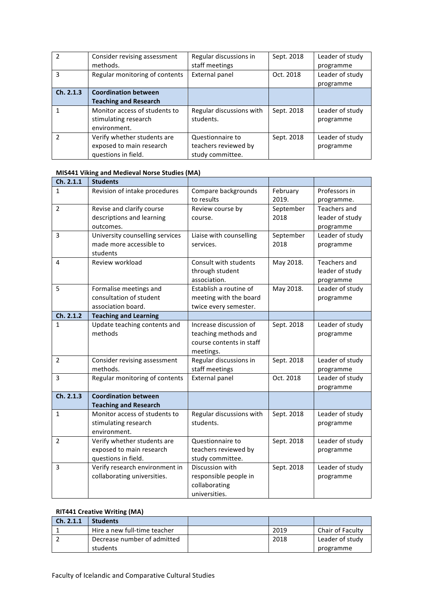| $\mathcal{P}$ | Consider revising assessment         | Regular discussions in                | Sept. 2018 | Leader of study |
|---------------|--------------------------------------|---------------------------------------|------------|-----------------|
|               | methods.                             | staff meetings                        |            | programme       |
| з             | Regular monitoring of contents       | External panel                        | Oct. 2018  | Leader of study |
|               |                                      |                                       |            | programme       |
| Ch. 2.1.3     | <b>Coordination between</b>          |                                       |            |                 |
|               | <b>Teaching and Research</b>         |                                       |            |                 |
|               | Monitor access of students to        | Regular discussions with<br>students. | Sept. 2018 | Leader of study |
|               | stimulating research<br>environment. |                                       |            | programme       |
| $\mathcal{P}$ | Verify whether students are          | Questionnaire to                      | Sept. 2018 | Leader of study |
|               | exposed to main research             | teachers reviewed by                  |            | programme       |
|               | questions in field.                  | study committee.                      |            |                 |

#### **MIS441 Viking and Medieval Norse Studies (MA)**

| Ch. 2.1.1              | <b>Students</b>                     |                          |            |                 |
|------------------------|-------------------------------------|--------------------------|------------|-----------------|
| 1                      | Revision of intake procedures       | Compare backgrounds      | February   | Professors in   |
|                        |                                     | to results               | 2019.      | programme.      |
| $\overline{2}$         | Revise and clarify course           | Review course by         | September  | Teachers and    |
|                        | descriptions and learning           | course.                  | 2018       | leader of study |
|                        | outcomes.                           |                          |            | programme       |
| 3                      | University counselling services     | Liaise with counselling  | September  | Leader of study |
|                        | made more accessible to<br>students | services.                | 2018       | programme       |
| 4                      | Review workload                     | Consult with students    | May 2018.  | Teachers and    |
|                        |                                     | through student          |            | leader of study |
|                        |                                     | association.             |            | programme       |
| 5                      | Formalise meetings and              | Establish a routine of   | May 2018.  | Leader of study |
|                        | consultation of student             | meeting with the board   |            | programme       |
|                        | association board.                  | twice every semester.    |            |                 |
| Ch. 2.1.2              | <b>Teaching and Learning</b>        |                          |            |                 |
| $\mathbf{1}$           | Update teaching contents and        | Increase discussion of   | Sept. 2018 | Leader of study |
|                        | methods                             | teaching methods and     |            | programme       |
|                        |                                     | course contents in staff |            |                 |
|                        |                                     | meetings.                |            |                 |
| 2                      | Consider revising assessment        | Regular discussions in   | Sept. 2018 | Leader of study |
|                        | methods.                            | staff meetings           |            | programme       |
| 3                      | Regular monitoring of contents      | <b>External panel</b>    | Oct. 2018  | Leader of study |
|                        |                                     |                          |            | programme       |
| $\overline{Ch. 2.1.3}$ | <b>Coordination between</b>         |                          |            |                 |
|                        | <b>Teaching and Research</b>        |                          |            |                 |
| $\mathbf{1}$           | Monitor access of students to       | Regular discussions with | Sept. 2018 | Leader of study |
|                        | stimulating research                | students.                |            | programme       |
|                        | environment.                        |                          |            |                 |
| $\overline{2}$         | Verify whether students are         | Questionnaire to         | Sept. 2018 | Leader of study |
|                        | exposed to main research            | teachers reviewed by     |            | programme       |
|                        | questions in field.                 | study committee.         |            |                 |
| 3                      | Verify research environment in      | Discussion with          | Sept. 2018 | Leader of study |
|                        | collaborating universities.         | responsible people in    |            | programme       |
|                        |                                     | collaborating            |            |                 |
|                        |                                     | universities.            |            |                 |

#### **RIT441 Creative Writing (MA)**

| $\mathsf{Ch. 2.1.1}$ | <b>Students</b>              |      |                         |
|----------------------|------------------------------|------|-------------------------|
|                      | Hire a new full-time teacher | 2019 | <b>Chair of Faculty</b> |
|                      | Decrease number of admitted  | 2018 | Leader of study         |
|                      | students                     |      | programme               |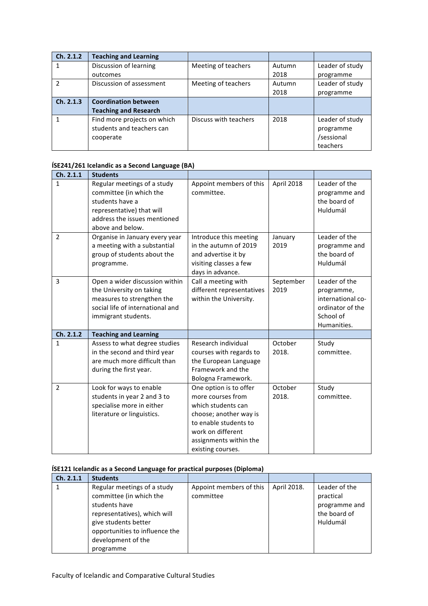| Ch. 2.1.2      | <b>Teaching and Learning</b> |                       |        |                 |
|----------------|------------------------------|-----------------------|--------|-----------------|
|                | Discussion of learning       | Meeting of teachers   | Autumn | Leader of study |
|                | outcomes                     |                       | 2018   | programme       |
| $\mathfrak{p}$ | Discussion of assessment     | Meeting of teachers   | Autumn | Leader of study |
|                |                              |                       | 2018   | programme       |
| Ch. 2.1.3      | <b>Coordination between</b>  |                       |        |                 |
|                | <b>Teaching and Research</b> |                       |        |                 |
|                | Find more projects on which  | Discuss with teachers | 2018   | Leader of study |
|                | students and teachers can    |                       |        | programme       |
|                | cooperate                    |                       |        | /sessional      |
|                |                              |                       |        | teachers        |

#### **ÍSE241/261 Icelandic as a Second Language (BA)**

| Ch. 2.1.1      | <b>Students</b>                                                                                                                                            |                                                                                                                                                                                          |                   |                                                                                                  |
|----------------|------------------------------------------------------------------------------------------------------------------------------------------------------------|------------------------------------------------------------------------------------------------------------------------------------------------------------------------------------------|-------------------|--------------------------------------------------------------------------------------------------|
| $\mathbf{1}$   | Regular meetings of a study<br>committee (in which the<br>students have a<br>representative) that will<br>address the issues mentioned<br>above and below. | Appoint members of this<br>committee.                                                                                                                                                    | April 2018        | Leader of the<br>programme and<br>the board of<br>Huldumál                                       |
| $\overline{2}$ | Organise in January every year<br>a meeting with a substantial<br>group of students about the<br>programme.                                                | Introduce this meeting<br>in the autumn of 2019<br>and advertise it by<br>visiting classes a few<br>days in advance.                                                                     | January<br>2019   | Leader of the<br>programme and<br>the board of<br>Huldumál                                       |
| 3              | Open a wider discussion within<br>the University on taking<br>measures to strengthen the<br>social life of international and<br>immigrant students.        | Call a meeting with<br>different representatives<br>within the University.                                                                                                               | September<br>2019 | Leader of the<br>programme,<br>international co-<br>ordinator of the<br>School of<br>Humanities. |
| Ch. 2.1.2      | <b>Teaching and Learning</b>                                                                                                                               |                                                                                                                                                                                          |                   |                                                                                                  |
| $\mathbf{1}$   | Assess to what degree studies<br>in the second and third year<br>are much more difficult than<br>during the first year.                                    | Research individual<br>courses with regards to<br>the European Language<br>Framework and the<br>Bologna Framework.                                                                       | October<br>2018.  | Study<br>committee.                                                                              |
| $\overline{2}$ | Look for ways to enable<br>students in year 2 and 3 to<br>specialise more in either<br>literature or linguistics.                                          | One option is to offer<br>more courses from<br>which students can<br>choose; another way is<br>to enable students to<br>work on different<br>assignments within the<br>existing courses. | October<br>2018.  | Study<br>committee.                                                                              |

#### **ÍSE121 Icelandic as a Second Language for practical purposes (Diploma)**

| Ch. 2.1.1 | <b>Students</b>                                                                                                                                                                         |                                      |             |                                                                         |
|-----------|-----------------------------------------------------------------------------------------------------------------------------------------------------------------------------------------|--------------------------------------|-------------|-------------------------------------------------------------------------|
|           | Regular meetings of a study<br>committee (in which the<br>students have<br>representatives), which will<br>give students better<br>opportunities to influence the<br>development of the | Appoint members of this<br>committee | April 2018. | Leader of the<br>practical<br>programme and<br>the board of<br>Huldumál |
|           | programme                                                                                                                                                                               |                                      |             |                                                                         |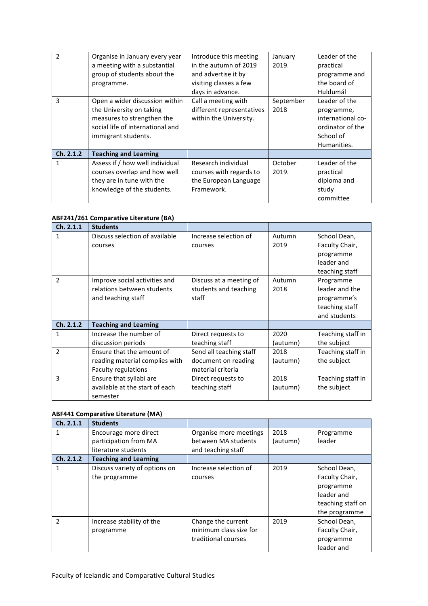| $\mathcal{P}$ | Organise in January every year   | Introduce this meeting    | January   | Leader of the     |
|---------------|----------------------------------|---------------------------|-----------|-------------------|
|               | a meeting with a substantial     | in the autumn of 2019     | 2019.     | practical         |
|               | group of students about the      | and advertise it by       |           | programme and     |
|               | programme.                       | visiting classes a few    |           | the board of      |
|               |                                  | days in advance.          |           | Huldumál          |
| 3             | Open a wider discussion within   | Call a meeting with       | September | Leader of the     |
|               | the University on taking         | different representatives | 2018      | programme,        |
|               | measures to strengthen the       | within the University.    |           | international co- |
|               | social life of international and |                           |           | ordinator of the  |
|               | immigrant students.              |                           |           | School of         |
|               |                                  |                           |           | Humanities.       |
| Ch. 2.1.2     | <b>Teaching and Learning</b>     |                           |           |                   |
| 1             | Assess if / how well individual  | Research individual       | October   | Leader of the     |
|               | courses overlap and how well     | courses with regards to   | 2019.     | practical         |
|               | they are in tune with the        | the European Language     |           | diploma and       |
|               | knowledge of the students.       | Framework.                |           | study             |
|               |                                  |                           |           | committee         |

#### **ABF241/261 Comparative Literature (BA)**

| Ch. 2.1.1     | <b>Students</b>                |                         |          |                   |
|---------------|--------------------------------|-------------------------|----------|-------------------|
| 1             | Discuss selection of available | Increase selection of   | Autumn   | School Dean,      |
|               | courses                        | courses                 | 2019     | Faculty Chair,    |
|               |                                |                         |          | programme         |
|               |                                |                         |          | leader and        |
|               |                                |                         |          | teaching staff    |
| $\mathcal{P}$ | Improve social activities and  | Discuss at a meeting of | Autumn   | Programme         |
|               | relations between students     | students and teaching   | 2018     | leader and the    |
|               | and teaching staff             | staff                   |          | programme's       |
|               |                                |                         |          | teaching staff    |
|               |                                |                         |          | and students      |
| Ch. 2.1.2     | <b>Teaching and Learning</b>   |                         |          |                   |
| 1             | Increase the number of         | Direct requests to      | 2020     | Teaching staff in |
|               | discussion periods             | teaching staff          | (autumn) | the subject       |
| $\mathcal{P}$ | Ensure that the amount of      | Send all teaching staff | 2018     | Teaching staff in |
|               | reading material complies with | document on reading     | (autumn) | the subject       |
|               | <b>Faculty regulations</b>     | material criteria       |          |                   |
| 3             | Ensure that syllabi are        | Direct requests to      | 2018     | Teaching staff in |
|               | available at the start of each | teaching staff          | (autumn) | the subject       |
|               | semester                       |                         |          |                   |

#### **ABF441 Comparative Literature (MA)**

| Ch. 2.1.1      | <b>Students</b>               |                        |          |                   |
|----------------|-------------------------------|------------------------|----------|-------------------|
| 1              | Encourage more direct         | Organise more meetings | 2018     | Programme         |
|                | participation from MA         | between MA students    | (autumn) | leader            |
|                | literature students           | and teaching staff     |          |                   |
| Ch. 2.1.2      | <b>Teaching and Learning</b>  |                        |          |                   |
| 1              | Discuss variety of options on | Increase selection of  | 2019     | School Dean,      |
|                | the programme                 | courses                |          | Faculty Chair,    |
|                |                               |                        |          | programme         |
|                |                               |                        |          | leader and        |
|                |                               |                        |          | teaching staff on |
|                |                               |                        |          | the programme     |
| $\mathfrak{p}$ | Increase stability of the     | Change the current     | 2019     | School Dean,      |
|                | programme                     | minimum class size for |          | Faculty Chair,    |
|                |                               | traditional courses    |          | programme         |
|                |                               |                        |          | leader and        |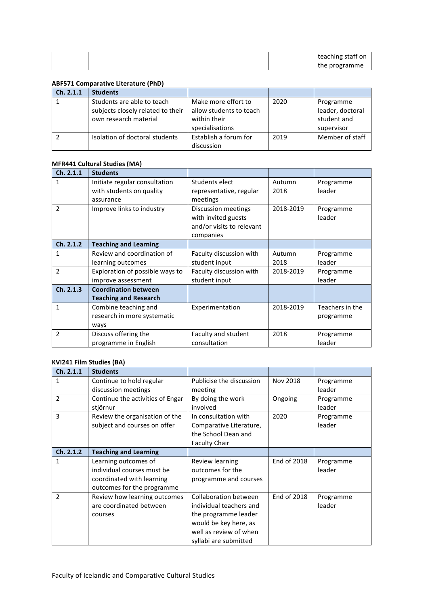|  |  | teaching staff on |
|--|--|-------------------|
|  |  | the programme     |

#### **ABF571 Comparative Literature (PhD)**

| Ch. 2.1.1 | <b>Students</b>                                                                          |                                                                                   |      |                                                            |
|-----------|------------------------------------------------------------------------------------------|-----------------------------------------------------------------------------------|------|------------------------------------------------------------|
|           | Students are able to teach<br>subjects closely related to their<br>own research material | Make more effort to<br>allow students to teach<br>within their<br>specialisations | 2020 | Programme<br>leader, doctoral<br>student and<br>supervisor |
|           | Isolation of doctoral students                                                           | Establish a forum for<br>discussion                                               | 2019 | Member of staff                                            |

#### **MFR441 Cultural Studies (MA)**

| Ch. 2.1.1     | <b>Students</b>                 |                           |           |                 |
|---------------|---------------------------------|---------------------------|-----------|-----------------|
| 1             | Initiate regular consultation   | Students elect            | Autumn    | Programme       |
|               | with students on quality        | representative, regular   | 2018      | leader          |
|               | assurance                       | meetings                  |           |                 |
| $\mathcal{P}$ | Improve links to industry       | Discussion meetings       | 2018-2019 | Programme       |
|               |                                 | with invited guests       |           | leader          |
|               |                                 | and/or visits to relevant |           |                 |
|               |                                 | companies                 |           |                 |
| Ch. 2.1.2     | <b>Teaching and Learning</b>    |                           |           |                 |
| 1             | Review and coordination of      | Faculty discussion with   | Autumn    | Programme       |
|               | learning outcomes               | student input             | 2018      | leader          |
| $\mathcal{P}$ | Exploration of possible ways to | Faculty discussion with   | 2018-2019 | Programme       |
|               | improve assessment              | student input             |           | leader          |
| Ch. 2.1.3     | <b>Coordination between</b>     |                           |           |                 |
|               | <b>Teaching and Research</b>    |                           |           |                 |
| 1             | Combine teaching and            | Experimentation           | 2018-2019 | Teachers in the |
|               | research in more systematic     |                           |           | programme       |
|               | ways                            |                           |           |                 |
| $\mathcal{P}$ | Discuss offering the            | Faculty and student       | 2018      | Programme       |
|               | programme in English            | consultation              |           | leader          |

#### **KVI241 Film Studies (BA)**

| Ch. 2.1.1     | <b>Students</b>                  |                          |             |           |
|---------------|----------------------------------|--------------------------|-------------|-----------|
| 1             | Continue to hold regular         | Publicise the discussion | Nov 2018    | Programme |
|               | discussion meetings              | meeting                  |             | leader    |
| $\mathcal{P}$ | Continue the activities of Engar | By doing the work        | Ongoing     | Programme |
|               | stjörnur                         | involved                 |             | leader    |
| 3             | Review the organisation of the   | In consultation with     | 2020        | Programme |
|               | subject and courses on offer     | Comparative Literature,  |             | leader    |
|               |                                  | the School Dean and      |             |           |
|               |                                  | <b>Faculty Chair</b>     |             |           |
| Ch. 2.1.2     | <b>Teaching and Learning</b>     |                          |             |           |
| 1             | Learning outcomes of             | Review learning          | End of 2018 | Programme |
|               | individual courses must be       | outcomes for the         |             | leader    |
|               | coordinated with learning        | programme and courses    |             |           |
|               | outcomes for the programme       |                          |             |           |
| $\mathcal{P}$ | Review how learning outcomes     | Collaboration between    | End of 2018 | Programme |
|               | are coordinated between          | individual teachers and  |             | leader    |
|               | courses                          | the programme leader     |             |           |
|               |                                  | would be key here, as    |             |           |
|               |                                  | well as review of when   |             |           |
|               |                                  | syllabi are submitted    |             |           |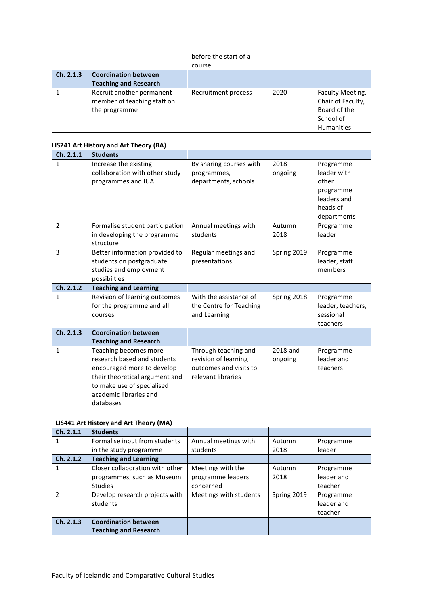|           |                                                          | before the start of a |      |                                       |
|-----------|----------------------------------------------------------|-----------------------|------|---------------------------------------|
|           |                                                          | course                |      |                                       |
| Ch. 2.1.3 | <b>Coordination between</b>                              |                       |      |                                       |
|           | <b>Teaching and Research</b>                             |                       |      |                                       |
|           | Recruit another permanent<br>member of teaching staff on | Recruitment process   | 2020 | Faculty Meeting,<br>Chair of Faculty, |
|           | the programme                                            |                       |      | Board of the                          |
|           |                                                          |                       |      | School of                             |
|           |                                                          |                       |      | <b>Humanities</b>                     |

#### **LIS241 Art History and Art Theory (BA)**

| Ch. 2.1.1      | <b>Students</b>                 |                         |             |                   |
|----------------|---------------------------------|-------------------------|-------------|-------------------|
| 1              | Increase the existing           | By sharing courses with | 2018        | Programme         |
|                | collaboration with other study  | programmes,             | ongoing     | leader with       |
|                | programmes and IUA              | departments, schools    |             | other             |
|                |                                 |                         |             | programme         |
|                |                                 |                         |             | leaders and       |
|                |                                 |                         |             | heads of          |
|                |                                 |                         |             | departments       |
| $\overline{2}$ | Formalise student participation | Annual meetings with    | Autumn      | Programme         |
|                | in developing the programme     | students                | 2018        | leader            |
|                | structure                       |                         |             |                   |
| 3              | Better information provided to  | Regular meetings and    | Spring 2019 | Programme         |
|                | students on postgraduate        | presentations           |             | leader, staff     |
|                | studies and employment          |                         |             | members           |
|                | possibilties                    |                         |             |                   |
| Ch. 2.1.2      | <b>Teaching and Learning</b>    |                         |             |                   |
| 1              | Revision of learning outcomes   | With the assistance of  | Spring 2018 | Programme         |
|                | for the programme and all       | the Centre for Teaching |             | leader, teachers, |
|                | courses                         | and Learning            |             | sessional         |
|                |                                 |                         |             | teachers          |
| Ch. 2.1.3      | <b>Coordination between</b>     |                         |             |                   |
|                | <b>Teaching and Research</b>    |                         |             |                   |
| $\mathbf{1}$   | Teaching becomes more           | Through teaching and    | 2018 and    | Programme         |
|                | research based and students     | revision of learning    | ongoing     | leader and        |
|                | encouraged more to develop      | outcomes and visits to  |             | teachers          |
|                | their theoretical argument and  | relevant libraries      |             |                   |
|                | to make use of specialised      |                         |             |                   |
|                | academic libraries and          |                         |             |                   |
|                | databases                       |                         |             |                   |

#### **LIS441 Art History and Art Theory (MA)**

| Ch. 2.1.1     | <b>Students</b>                 |                        |             |            |
|---------------|---------------------------------|------------------------|-------------|------------|
| 1             | Formalise input from students   | Annual meetings with   | Autumn      | Programme  |
|               | in the study programme          | students               | 2018        | leader     |
| Ch. 2.1.2     | <b>Teaching and Learning</b>    |                        |             |            |
| 1             | Closer collaboration with other | Meetings with the      | Autumn      | Programme  |
|               | programmes, such as Museum      | programme leaders      | 2018        | leader and |
|               | <b>Studies</b>                  | concerned              |             | teacher    |
| $\mathcal{P}$ | Develop research projects with  | Meetings with students | Spring 2019 | Programme  |
|               | students                        |                        |             | leader and |
|               |                                 |                        |             | teacher    |
| Ch. 2.1.3     | <b>Coordination between</b>     |                        |             |            |
|               | <b>Teaching and Research</b>    |                        |             |            |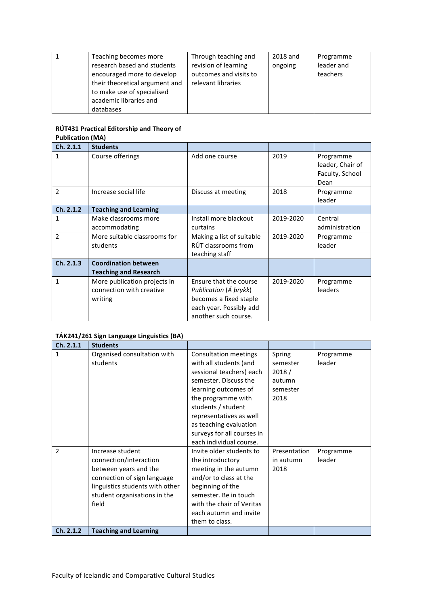| Teaching becomes more          | Through teaching and   | 2018 and | Programme  |
|--------------------------------|------------------------|----------|------------|
| research based and students    | revision of learning   | ongoing  | leader and |
| encouraged more to develop     | outcomes and visits to |          | teachers   |
| their theoretical argument and | relevant libraries     |          |            |
| to make use of specialised     |                        |          |            |
| academic libraries and         |                        |          |            |
| databases                      |                        |          |            |

#### **RÚT431 Practical Editorship and Theory of Publication (MA)**

| Ch. 2.1.1      | <b>Students</b>                                                     |                                                                                                                              |           |                                                          |
|----------------|---------------------------------------------------------------------|------------------------------------------------------------------------------------------------------------------------------|-----------|----------------------------------------------------------|
| 1              | Course offerings                                                    | Add one course                                                                                                               | 2019      | Programme<br>leader, Chair of<br>Faculty, School<br>Dean |
| $\mathfrak{p}$ | Increase social life                                                | Discuss at meeting                                                                                                           | 2018      | Programme<br>leader                                      |
| Ch. 2.1.2      | <b>Teaching and Learning</b>                                        |                                                                                                                              |           |                                                          |
| 1              | Make classrooms more<br>accommodating                               | Install more blackout<br>curtains                                                                                            | 2019-2020 | Central<br>administration                                |
| $\overline{2}$ | More suitable classrooms for<br>students                            | Making a list of suitable<br>RÚT classrooms from<br>teaching staff                                                           | 2019-2020 | Programme<br>leader                                      |
| Ch. 2.1.3      | <b>Coordination between</b><br><b>Teaching and Research</b>         |                                                                                                                              |           |                                                          |
| 1              | More publication projects in<br>connection with creative<br>writing | Ensure that the course<br>Publication (A prykk)<br>becomes a fixed staple<br>each year. Possibly add<br>another such course. | 2019-2020 | Programme<br>leaders                                     |

#### TÁK241/261 Sign Language Linguistics (BA)

| Ch. 2.1.1      | <b>Students</b>                                                                                                                                                                |                                                                                                                                                                                                                                                                                               |                                                           |                     |
|----------------|--------------------------------------------------------------------------------------------------------------------------------------------------------------------------------|-----------------------------------------------------------------------------------------------------------------------------------------------------------------------------------------------------------------------------------------------------------------------------------------------|-----------------------------------------------------------|---------------------|
| $\mathbf{1}$   | Organised consultation with<br>students                                                                                                                                        | <b>Consultation meetings</b><br>with all students (and<br>sessional teachers) each<br>semester. Discuss the<br>learning outcomes of<br>the programme with<br>students / student<br>representatives as well<br>as teaching evaluation<br>surveys for all courses in<br>each individual course. | Spring<br>semester<br>2018/<br>autumn<br>semester<br>2018 | Programme<br>leader |
| $\mathfrak{p}$ | Increase student<br>connection/interaction<br>between years and the<br>connection of sign language<br>linguistics students with other<br>student organisations in the<br>field | Invite older students to<br>the introductory<br>meeting in the autumn<br>and/or to class at the<br>beginning of the<br>semester. Be in touch<br>with the chair of Veritas<br>each autumn and invite<br>them to class.                                                                         | Presentation<br>in autumn<br>2018                         | Programme<br>leader |
| Ch. 2.1.2      | <b>Teaching and Learning</b>                                                                                                                                                   |                                                                                                                                                                                                                                                                                               |                                                           |                     |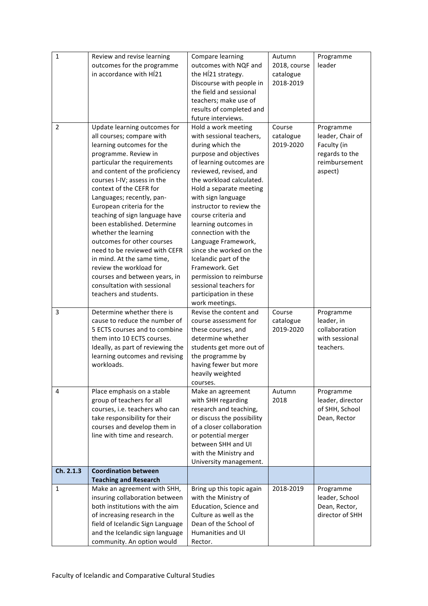| $\mathbf 1$  | Review and revise learning<br>outcomes for the programme<br>in accordance with HÍ21                                                                                                                                                                                                                                                                                                                                                                                                                                                                                                                            | Compare learning<br>outcomes with NQF and<br>the H <sub>1</sub> 21 strategy.<br>Discourse with people in<br>the field and sessional<br>teachers; make use of<br>results of completed and<br>future interviews.                                                                                                                                                                                                                                                                                                                   | Autumn<br>2018, course<br>catalogue<br>2018-2019 | Programme<br>leader                                                                        |
|--------------|----------------------------------------------------------------------------------------------------------------------------------------------------------------------------------------------------------------------------------------------------------------------------------------------------------------------------------------------------------------------------------------------------------------------------------------------------------------------------------------------------------------------------------------------------------------------------------------------------------------|----------------------------------------------------------------------------------------------------------------------------------------------------------------------------------------------------------------------------------------------------------------------------------------------------------------------------------------------------------------------------------------------------------------------------------------------------------------------------------------------------------------------------------|--------------------------------------------------|--------------------------------------------------------------------------------------------|
| 2            | Update learning outcomes for<br>all courses; compare with<br>learning outcomes for the<br>programme. Review in<br>particular the requirements<br>and content of the proficiency<br>courses I-IV; assess in the<br>context of the CEFR for<br>Languages; recently, pan-<br>European criteria for the<br>teaching of sign language have<br>been established. Determine<br>whether the learning<br>outcomes for other courses<br>need to be reviewed with CEFR<br>in mind. At the same time,<br>review the workload for<br>courses and between years, in<br>consultation with sessional<br>teachers and students. | Hold a work meeting<br>with sessional teachers,<br>during which the<br>purpose and objectives<br>of learning outcomes are<br>reviewed, revised, and<br>the workload calculated.<br>Hold a separate meeting<br>with sign language<br>instructor to review the<br>course criteria and<br>learning outcomes in<br>connection with the<br>Language Framework,<br>since she worked on the<br>Icelandic part of the<br>Framework, Get<br>permission to reimburse<br>sessional teachers for<br>participation in these<br>work meetings. | Course<br>catalogue<br>2019-2020                 | Programme<br>leader, Chair of<br>Faculty (in<br>regards to the<br>reimbursement<br>aspect) |
| 3            | Determine whether there is<br>cause to reduce the number of<br>5 ECTS courses and to combine<br>them into 10 ECTS courses.<br>Ideally, as part of reviewing the<br>learning outcomes and revising<br>workloads.                                                                                                                                                                                                                                                                                                                                                                                                | Revise the content and<br>course assessment for<br>these courses, and<br>determine whether<br>students get more out of<br>the programme by<br>having fewer but more<br>heavily weighted<br>courses.                                                                                                                                                                                                                                                                                                                              | Course<br>catalogue<br>2019-2020                 | Programme<br>leader, in<br>collaboration<br>with sessional<br>teachers.                    |
| 4            | Place emphasis on a stable<br>group of teachers for all<br>courses, i.e. teachers who can<br>take responsibility for their<br>courses and develop them in<br>line with time and research.                                                                                                                                                                                                                                                                                                                                                                                                                      | Make an agreement<br>with SHH regarding<br>research and teaching,<br>or discuss the possibility<br>of a closer collaboration<br>or potential merger<br>between SHH and UI<br>with the Ministry and<br>University management.                                                                                                                                                                                                                                                                                                     | Autumn<br>2018                                   | Programme<br>leader, director<br>of SHH, School<br>Dean, Rector                            |
| Ch. 2.1.3    | <b>Coordination between</b><br><b>Teaching and Research</b>                                                                                                                                                                                                                                                                                                                                                                                                                                                                                                                                                    |                                                                                                                                                                                                                                                                                                                                                                                                                                                                                                                                  |                                                  |                                                                                            |
| $\mathbf{1}$ | Make an agreement with SHH,<br>insuring collaboration between<br>both institutions with the aim<br>of increasing research in the<br>field of Icelandic Sign Language<br>and the Icelandic sign language<br>community. An option would                                                                                                                                                                                                                                                                                                                                                                          | Bring up this topic again<br>with the Ministry of<br>Education, Science and<br>Culture as well as the<br>Dean of the School of<br>Humanities and UI<br>Rector.                                                                                                                                                                                                                                                                                                                                                                   | 2018-2019                                        | Programme<br>leader, School<br>Dean, Rector,<br>director of SHH                            |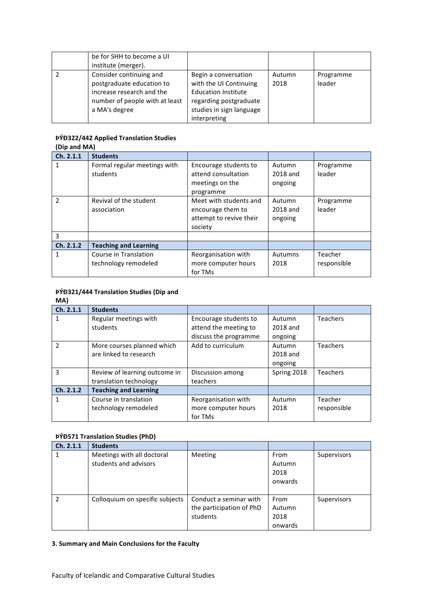| be for SHH to become a UI<br>institute (merger).                                                                                     |                                                                                                                                                    |                |                     |
|--------------------------------------------------------------------------------------------------------------------------------------|----------------------------------------------------------------------------------------------------------------------------------------------------|----------------|---------------------|
| Consider continuing and<br>postgraduate education to<br>increase research and the<br>number of people with at least<br>a MA's degree | Begin a conversation<br>with the UI Continuing<br><b>Education Institute</b><br>regarding postgraduate<br>studies in sign language<br>interpreting | Autumn<br>2018 | Programme<br>leader |

#### **ÞÝÐ322/442 Applied Translation Studies**

| (Dip and MA)  |                              |                         |          |             |  |
|---------------|------------------------------|-------------------------|----------|-------------|--|
| Ch. 2.1.1     | <b>Students</b>              |                         |          |             |  |
| 1             | Formal regular meetings with | Encourage students to   | Autumn   | Programme   |  |
|               | students                     | attend consultation     | 2018 and | leader      |  |
|               |                              | meetings on the         | ongoing  |             |  |
|               |                              | programme               |          |             |  |
| $\mathcal{P}$ | Revival of the student       | Meet with students and  | Autumn   | Programme   |  |
|               | association                  | encourage them to       | 2018 and | leader      |  |
|               |                              | attempt to revive their | ongoing  |             |  |
|               |                              | society                 |          |             |  |
| 3             |                              |                         |          |             |  |
| Ch. 2.1.2     | <b>Teaching and Learning</b> |                         |          |             |  |
| 1             | Course in Translation        | Reorganisation with     | Autumns  | Teacher     |  |
|               | technology remodeled         | more computer hours     | 2018     | responsible |  |
|               |                              | for TMs                 |          |             |  |

#### **ÞÝÐ321/444 Translation Studies (Dip and MA)**

| <b>IVIM</b>   |                               |                       |             |                 |
|---------------|-------------------------------|-----------------------|-------------|-----------------|
| Ch. 2.1.1     | <b>Students</b>               |                       |             |                 |
| 1             | Regular meetings with         | Encourage students to | Autumn      | <b>Teachers</b> |
|               | students                      | attend the meeting to | 2018 and    |                 |
|               |                               | discuss the programme | ongoing     |                 |
| $\mathcal{P}$ | More courses planned which    | Add to curriculum     | Autumn      | <b>Teachers</b> |
|               | are linked to research        |                       | 2018 and    |                 |
|               |                               |                       | ongoing     |                 |
| 3             | Review of learning outcome in | Discussion among      | Spring 2018 | <b>Teachers</b> |
|               | translation technology        | teachers              |             |                 |
| Ch. 2.1.2     | <b>Teaching and Learning</b>  |                       |             |                 |
| 1             | Course in translation         | Reorganisation with   | Autumn      | Teacher         |
|               | technology remodeled          | more computer hours   | 2018        | responsible     |
|               |                               | for TMs               |             |                 |

#### **ÞÝÐ571 Translation Studies (PhD)**

| Ch. 2.1.1     | <b>Students</b>                                     |                                                                |                                   |             |
|---------------|-----------------------------------------------------|----------------------------------------------------------------|-----------------------------------|-------------|
| 1             | Meetings with all doctoral<br>students and advisors | Meeting                                                        | From<br>Autumn<br>2018<br>onwards | Supervisors |
| $\mathcal{P}$ | Colloquium on specific subjects                     | Conduct a seminar with<br>the participation of PhD<br>students | From<br>Autumn<br>2018<br>onwards | Supervisors |

#### **3. Summary and Main Conclusions for the Faculty**